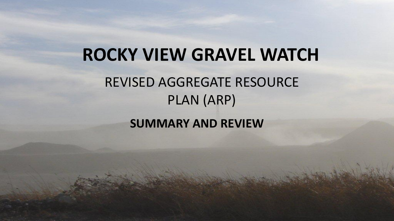# **ROCKY VIEW GRAVEL WATCH** REVISED AGGREGATE RESOURCE PLAN (ARP)

**SUMMARY AND REVIEW**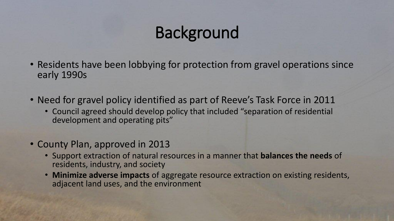### Background

- Residents have been lobbying for protection from gravel operations since early 1990s
- Need for gravel policy identified as part of Reeve's Task Force in 2011
	- Council agreed should develop policy that included "separation of residential development and operating pits"
- County Plan, approved in 2013
	- Support extraction of natural resources in a manner that **balances the needs** of residents, industry, and society
	- **Minimize adverse impacts** of aggregate resource extraction on existing residents, adjacent land uses, and the environment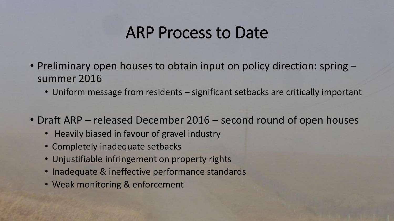### ARP Process to Date

- Preliminary open houses to obtain input on policy direction: spring summer 2016
	- Uniform message from residents significant setbacks are critically important
- Draft ARP released December 2016 second round of open houses
	- Heavily biased in favour of gravel industry
	- Completely inadequate setbacks
	- Unjustifiable infringement on property rights
	- Inadequate & ineffective performance standards
	- Weak monitoring & enforcement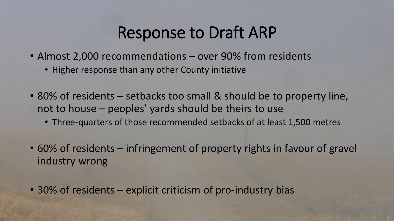### Response to Draft ARP

- Almost 2,000 recommendations over 90% from residents
	- Higher response than any other County initiative
- 80% of residents setbacks too small & should be to property line, not to house – peoples' yards should be theirs to use
	- Three-quarters of those recommended setbacks of at least 1,500 metres
- 60% of residents infringement of property rights in favour of gravel industry wrong
- 30% of residents explicit criticism of pro-industry bias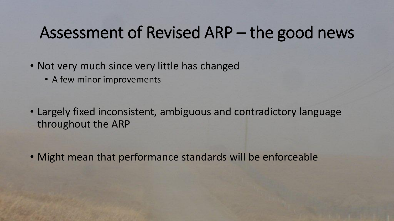### Assessment of Revised ARP – the good news

- Not very much since very little has changed
	- A few minor improvements
- Largely fixed inconsistent, ambiguous and contradictory language throughout the ARP

• Might mean that performance standards will be enforceable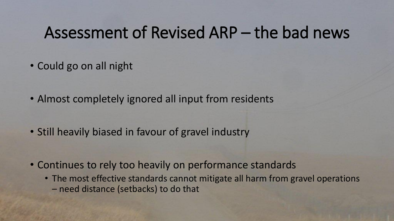### Assessment of Revised ARP – the bad news

- Could go on all night
- Almost completely ignored all input from residents
- Still heavily biased in favour of gravel industry
- Continues to rely too heavily on performance standards
	- The most effective standards cannot mitigate all harm from gravel operations – need distance (setbacks) to do that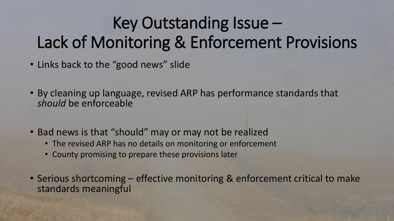# Key Outstanding Issue – Lack of Monitoring & Enforcement Provisions

- Links back to the "good news" slide
- By cleaning up language, revised ARP has performance standards that *should* be enforceable
- Bad news is that "should" may or may not be realized
	- The revised ARP has no details on monitoring or enforcement
	- County promising to prepare these provisions later
- Serious shortcoming effective monitoring & enforcement critical to make standards meaningful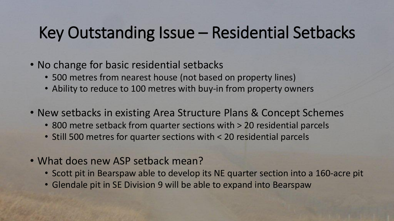### Key Outstanding Issue – Residential Setbacks

- No change for basic residential setbacks
	- 500 metres from nearest house (not based on property lines)
	- Ability to reduce to 100 metres with buy-in from property owners
- New setbacks in existing Area Structure Plans & Concept Schemes
	- 800 metre setback from quarter sections with > 20 residential parcels
	- Still 500 metres for quarter sections with < 20 residential parcels
- What does new ASP setback mean?
	- Scott pit in Bearspaw able to develop its NE quarter section into a 160-acre pit
	- Glendale pit in SE Division 9 will be able to expand into Bearspaw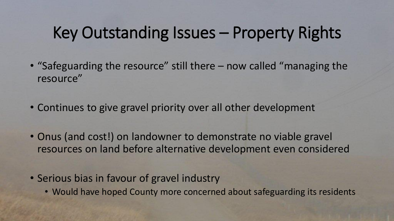### Key Outstanding Issues – Property Rights

- "Safeguarding the resource" still there now called "managing the resource"
- Continues to give gravel priority over all other development
- Onus (and cost!) on landowner to demonstrate no viable gravel resources on land before alternative development even considered
- Serious bias in favour of gravel industry
	- Would have hoped County more concerned about safeguarding its residents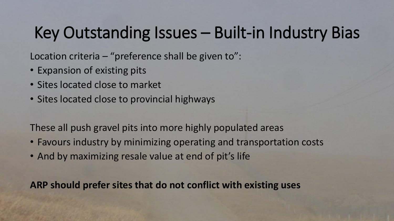### Key Outstanding Issues – Built-in Industry Bias

Location criteria – "preference shall be given to":

- Expansion of existing pits
- Sites located close to market
- Sites located close to provincial highways

These all push gravel pits into more highly populated areas

- Favours industry by minimizing operating and transportation costs
- And by maximizing resale value at end of pit's life

**ARP should prefer sites that do not conflict with existing uses**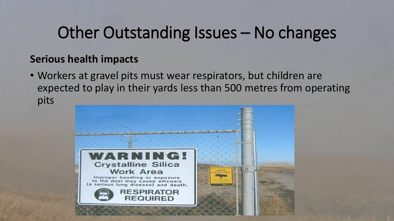#### **Serious health impacts**

• Workers at gravel pits must wear respirators, but children are expected to play in their yards less than 500 metres from operating pits

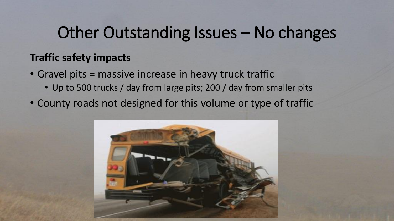#### **Traffic safety impacts**

- Gravel pits = massive increase in heavy truck traffic
	- Up to 500 trucks / day from large pits; 200 / day from smaller pits
- County roads not designed for this volume or type of traffic

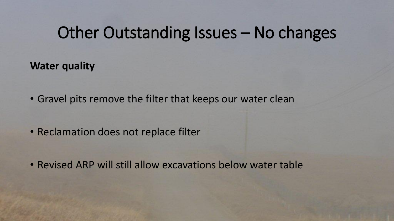**Water quality**

• Gravel pits remove the filter that keeps our water clean

- Reclamation does not replace filter
- Revised ARP will still allow excavations below water table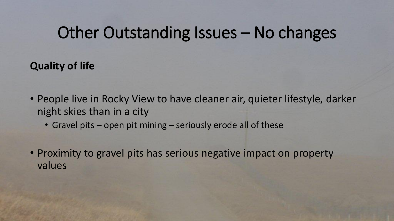**Quality of life**

- People live in Rocky View to have cleaner air, quieter lifestyle, darker night skies than in a city
	- Gravel pits open pit mining seriously erode all of these
- Proximity to gravel pits has serious negative impact on property values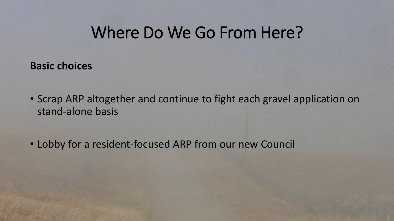### Where Do We Go From Here?

**Basic choices** 

- Scrap ARP altogether and continue to fight each gravel application on stand-alone basis
- Lobby for a resident-focused ARP from our new Council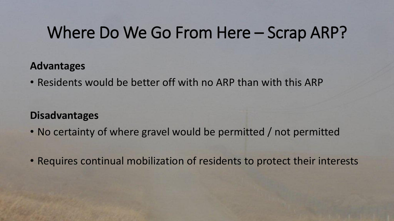### Where Do We Go From Here – Scrap ARP?

#### **Advantages**

• Residents would be better off with no ARP than with this ARP

#### **Disadvantages**

- No certainty of where gravel would be permitted / not permitted
- Requires continual mobilization of residents to protect their interests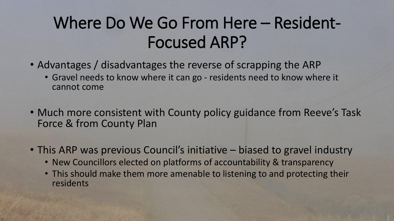## Where Do We Go From Here – Resident-Focused ARP?

- Advantages / disadvantages the reverse of scrapping the ARP
	- Gravel needs to know where it can go residents need to know where it cannot come
- Much more consistent with County policy guidance from Reeve's Task Force & from County Plan
- This ARP was previous Council's initiative biased to gravel industry
	- New Councillors elected on platforms of accountability & transparency
	- This should make them more amenable to listening to and protecting their residents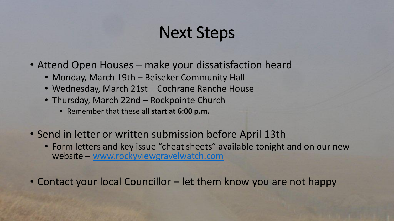### Next Steps

- Attend Open Houses make your dissatisfaction heard
	- Monday, March 19th Beiseker Community Hall
	- Wednesday, March 21st Cochrane Ranche House
	- Thursday, March 22nd Rockpointe Church
		- Remember that these all **start at 6:00 p.m.**
- Send in letter or written submission before April 13th
	- Form letters and key issue "cheat sheets" available tonight and on our new website – [www.rockyviewgravelwatch.com](http://www.rockyviewgravelwatch.com/)
- Contact your local Councillor let them know you are not happy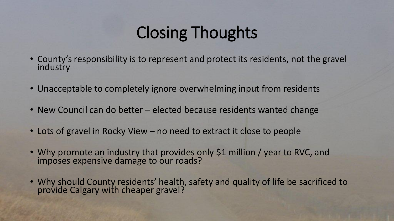# Closing Thoughts

- County's responsibility is to represent and protect its residents, not the gravel industry
- Unacceptable to completely ignore overwhelming input from residents
- New Council can do better elected because residents wanted change
- Lots of gravel in Rocky View no need to extract it close to people
- Why promote an industry that provides only \$1 million / year to RVC, and imposes expensive damage to our roads?
- Why should County residents' health, safety and quality of life be sacrificed to provide Calgary with cheaper gravel?